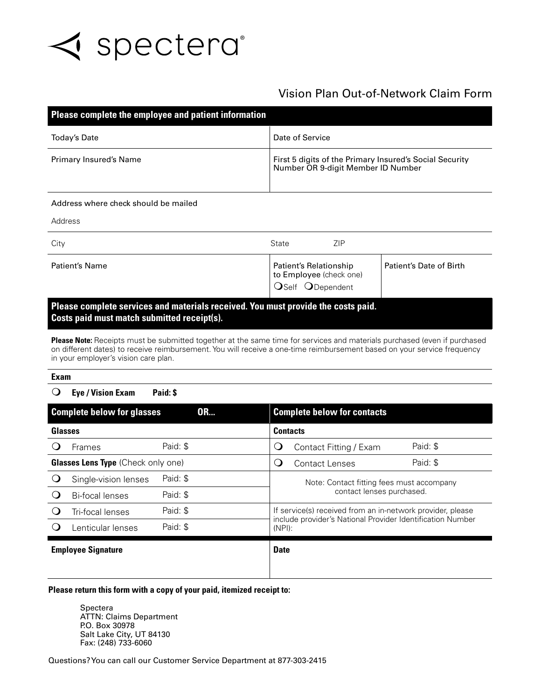

## Vision Plan Out-of-Network Claim Form

| Please complete the employee and patient information                                                                             |                                                                                               |                         |  |  |  |  |  |
|----------------------------------------------------------------------------------------------------------------------------------|-----------------------------------------------------------------------------------------------|-------------------------|--|--|--|--|--|
| Date of Service<br><b>Today's Date</b>                                                                                           |                                                                                               |                         |  |  |  |  |  |
| Primary Insured's Name                                                                                                           | First 5 digits of the Primary Insured's Social Security<br>Number OR 9-digit Member ID Number |                         |  |  |  |  |  |
| Address where check should be mailed                                                                                             |                                                                                               |                         |  |  |  |  |  |
| Address                                                                                                                          |                                                                                               |                         |  |  |  |  |  |
| <b>ZIP</b><br>City<br>State                                                                                                      |                                                                                               |                         |  |  |  |  |  |
| Patient's Name                                                                                                                   | Patient's Relationship<br>to Employee (check one)<br>OSelf ODependent                         | Patient's Date of Birth |  |  |  |  |  |
| Please complete services and materials received. You must provide the costs paid.<br>Costs paid must match submitted receipt(s). |                                                                                               |                         |  |  |  |  |  |

Please Note: Receipts must be submitted together at the same time for services and materials purchased (even if purchased on different dates) to receive reimbursement. You will receive a one-time reimbursement based on your service frequency in your employer's vision care plan.

## **Exam**

m **Eye / Vision Exam Paid: \$**

| <b>Complete below for glasses</b><br><b>OR</b> |                      |             | <b>Complete below for contacts</b> |                                                                                                                                       |                        |          |
|------------------------------------------------|----------------------|-------------|------------------------------------|---------------------------------------------------------------------------------------------------------------------------------------|------------------------|----------|
| Glasses                                        |                      |             | <b>Contacts</b>                    |                                                                                                                                       |                        |          |
|                                                | Frames               | Paid: \$    |                                    | Q                                                                                                                                     | Contact Fitting / Exam | Paid: \$ |
| <b>Glasses Lens Type (Check only one)</b>      |                      |             | $\cup$                             | Contact Lenses                                                                                                                        | Paid: \$               |          |
|                                                | Single-vision lenses | Paid: \$    |                                    | Note: Contact fitting fees must accompany<br>contact lenses purchased.                                                                |                        |          |
|                                                | Bi-focal lenses      | Paid: \$    |                                    |                                                                                                                                       |                        |          |
|                                                | Tri-focal lenses     | Paid: \$    |                                    | If service(s) received from an in-network provider, please<br>include provider's National Provider Identification Number<br>$(NPI)$ : |                        |          |
| ( )                                            | Lenticular lenses    | Paid: \$    |                                    |                                                                                                                                       |                        |          |
| <b>Employee Signature</b>                      |                      | <b>Date</b> |                                    |                                                                                                                                       |                        |          |
|                                                |                      |             |                                    |                                                                                                                                       |                        |          |

## **Please return this form with a copy of your paid, itemized receipt to:**

Spectera ATTN: Claims Department P.O. Box 30978 Salt Lake City, UT 84130 Fax: (248) 733-6060

Questions? You can call our Customer Service Department at 877-303-2415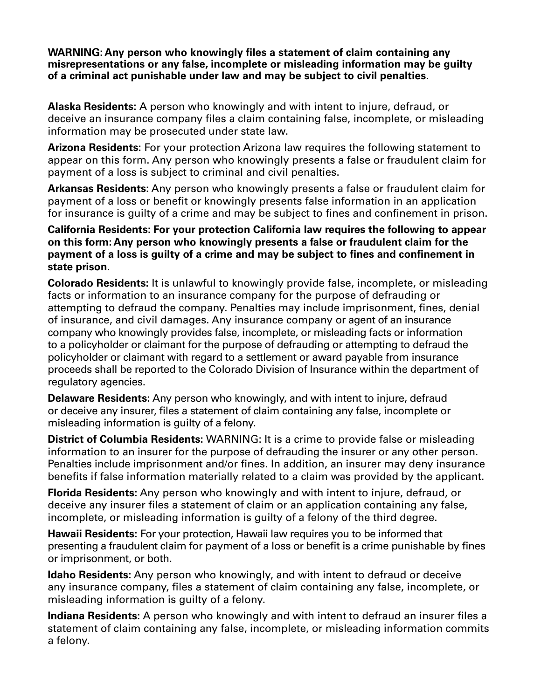**WARNING: Any person who knowingly files a statement of claim containing any misrepresentations or any false, incomplete or misleading information may be guilty of a criminal act punishable under law and may be subject to civil penalties.**

**Alaska Residents:** A person who knowingly and with intent to injure, defraud, or deceive an insurance company files a claim containing false, incomplete, or misleading information may be prosecuted under state law.

**Arizona Residents:** For your protection Arizona law requires the following statement to appear on this form. Any person who knowingly presents a false or fraudulent claim for payment of a loss is subject to criminal and civil penalties.

**Arkansas Residents:** Any person who knowingly presents a false or fraudulent claim for payment of a loss or benefit or knowingly presents false information in an application for insurance is guilty of a crime and may be subject to fines and confinement in prison.

**California Residents: For your protection California law requires the following to appear on this form: Any person who knowingly presents a false or fraudulent claim for the payment of a loss is guilty of a crime and may be subject to fines and confinement in state prison.**

**Colorado Residents:** It is unlawful to knowingly provide false, incomplete, or misleading facts or information to an insurance company for the purpose of defrauding or attempting to defraud the company. Penalties may include imprisonment, fines, denial of insurance, and civil damages. Any insurance company or agent of an insurance company who knowingly provides false, incomplete, or misleading facts or information to a policyholder or claimant for the purpose of defrauding or attempting to defraud the policyholder or claimant with regard to a settlement or award payable from insurance proceeds shall be reported to the Colorado Division of Insurance within the department of regulatory agencies.

**Delaware Residents:** Any person who knowingly, and with intent to injure, defraud or deceive any insurer, files a statement of claim containing any false, incomplete or misleading information is guilty of a felony.

**District of Columbia Residents:** WARNING: It is a crime to provide false or misleading information to an insurer for the purpose of defrauding the insurer or any other person. Penalties include imprisonment and/or fines. In addition, an insurer may deny insurance benefits if false information materially related to a claim was provided by the applicant.

**Florida Residents:** Any person who knowingly and with intent to injure, defraud, or deceive any insurer files a statement of claim or an application containing any false, incomplete, or misleading information is guilty of a felony of the third degree.

**Hawaii Residents:** For your protection, Hawaii law requires you to be informed that presenting a fraudulent claim for payment of a loss or benefit is a crime punishable by fines or imprisonment, or both.

**Idaho Residents:** Any person who knowingly, and with intent to defraud or deceive any insurance company, files a statement of claim containing any false, incomplete, or misleading information is guilty of a felony.

**Indiana Residents:** A person who knowingly and with intent to defraud an insurer files a statement of claim containing any false, incomplete, or misleading information commits a felony.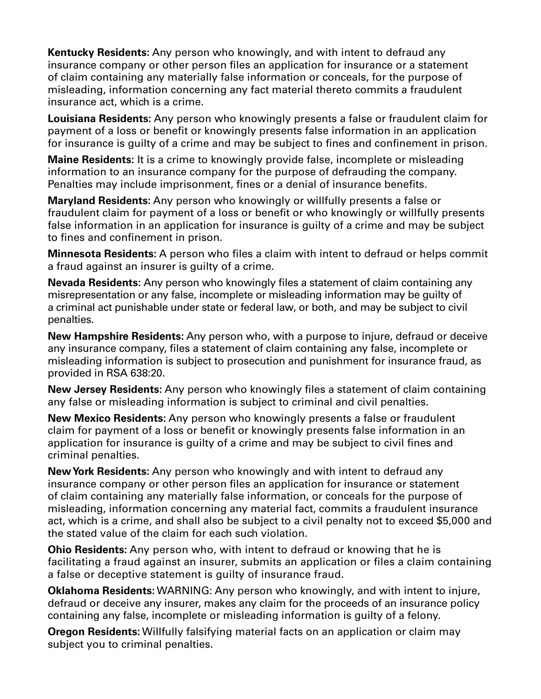**Kentucky Residents:** Any person who knowingly, and with intent to defraud any insurance company or other person files an application for insurance or a statement of claim containing any materially false information or conceals, for the purpose of misleading, information concerning any fact material thereto commits a fraudulent insurance act, which is a crime.

**Louisiana Residents:** Any person who knowingly presents a false or fraudulent claim for payment of a loss or benefit or knowingly presents false information in an application for insurance is guilty of a crime and may be subject to fines and confinement in prison.

**Maine Residents:** It is a crime to knowingly provide false, incomplete or misleading information to an insurance company for the purpose of defrauding the company. Penalties may include imprisonment, fines or a denial of insurance benefits.

**Maryland Residents:** Any person who knowingly or willfully presents a false or fraudulent claim for payment of a loss or benefit or who knowingly or willfully presents false information in an application for insurance is guilty of a crime and may be subject to fines and confinement in prison.

**Minnesota Residents:** A person who files a claim with intent to defraud or helps commit a fraud against an insurer is guilty of a crime.

**Nevada Residents:** Any person who knowingly files a statement of claim containing any misrepresentation or any false, incomplete or misleading information may be guilty of a criminal act punishable under state or federal law, or both, and may be subject to civil penalties.

**New Hampshire Residents:** Any person who, with a purpose to injure, defraud or deceive any insurance company, files a statement of claim containing any false, incomplete or misleading information is subject to prosecution and punishment for insurance fraud, as provided in RSA 638:20.

**New Jersey Residents:** Any person who knowingly files a statement of claim containing any false or misleading information is subject to criminal and civil penalties.

**New Mexico Residents:** Any person who knowingly presents a false or fraudulent claim for payment of a loss or benefit or knowingly presents false information in an application for insurance is guilty of a crime and may be subject to civil fines and criminal penalties.

**New York Residents:** Any person who knowingly and with intent to defraud any insurance company or other person files an application for insurance or statement of claim containing any materially false information, or conceals for the purpose of misleading, information concerning any material fact, commits a fraudulent insurance act, which is a crime, and shall also be subject to a civil penalty not to exceed \$5,000 and the stated value of the claim for each such violation.

**Ohio Residents:** Any person who, with intent to defraud or knowing that he is facilitating a fraud against an insurer, submits an application or files a claim containing a false or deceptive statement is guilty of insurance fraud.

**Oklahoma Residents:** WARNING: Any person who knowingly, and with intent to injure, defraud or deceive any insurer, makes any claim for the proceeds of an insurance policy containing any false, incomplete or misleading information is guilty of a felony.

**Oregon Residents:** Willfully falsifying material facts on an application or claim may subject you to criminal penalties.